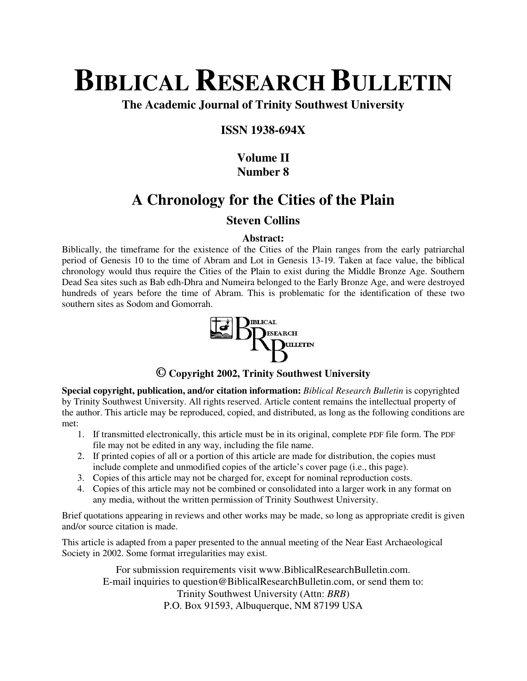# **BIBLICAL RESEARCH BULLETIN**

**The Academic Journal of Trinity Southwest University** 

# **ISSN 1938-694X**

# **Volume II Number 8**

# **A Chronology for the Cities of the Plain**

# **Steven Collins**

## **Abstract:**

Biblically, the timeframe for the existence of the Cities of the Plain ranges from the early patriarchal period of Genesis 10 to the time of Abram and Lot in Genesis 13-19. Taken at face value, the biblical chronology would thus require the Cities of the Plain to exist during the Middle Bronze Age. Southern Dead Sea sites such as Bab edh-Dhra and Numeira belonged to the Early Bronze Age, and were destroyed hundreds of years before the time of Abram. This is problematic for the identification of these two southern sites as Sodom and Gomorrah.



# **© Copyright 2002, Trinity Southwest University**

**Special copyright, publication, and/or citation information:** *Biblical Research Bulletin* is copyrighted by Trinity Southwest University. All rights reserved. Article content remains the intellectual property of the author. This article may be reproduced, copied, and distributed, as long as the following conditions are met:

- 1. If transmitted electronically, this article must be in its original, complete PDF file form. The PDF file may not be edited in any way, including the file name.
- 2. If printed copies of all or a portion of this article are made for distribution, the copies must include complete and unmodified copies of the article's cover page (i.e., this page).
- 3. Copies of this article may not be charged for, except for nominal reproduction costs.
- 4. Copies of this article may not be combined or consolidated into a larger work in any format on any media, without the written permission of Trinity Southwest University.

Brief quotations appearing in reviews and other works may be made, so long as appropriate credit is given and/or source citation is made.

This article is adapted from a paper presented to the annual meeting of the Near East Archaeological Society in 2002. Some format irregularities may exist.

For submission requirements visit www.BiblicalResearchBulletin.com. E-mail inquiries to question@BiblicalResearchBulletin.com, or send them to: Trinity Southwest University (Attn: *BRB*) P.O. Box 91593, Albuquerque, NM 87199 USA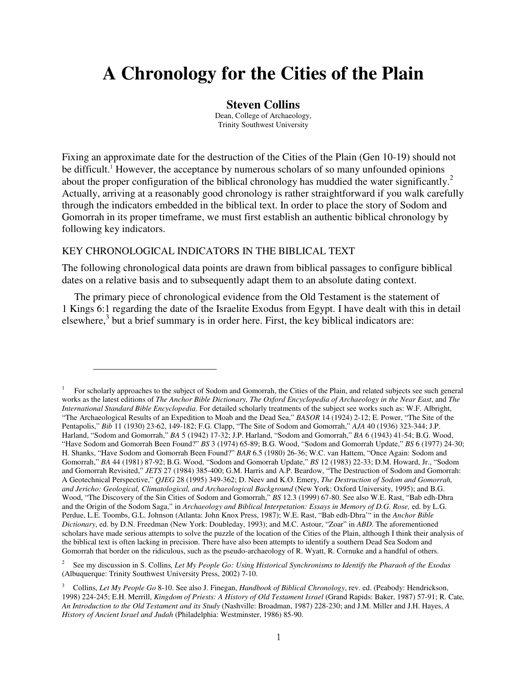# **A Chronology for the Cities of the Plain**

#### **Steven Collins**

Dean, College of Archaeology, Trinity Southwest University

Fixing an approximate date for the destruction of the Cities of the Plain (Gen 10-19) should not be difficult.<sup>1</sup> However, the acceptance by numerous scholars of so many unfounded opinions about the proper configuration of the biblical chronology has muddied the water significantly.<sup>2</sup> Actually, arriving at a reasonably good chronology is rather straightforward if you walk carefully through the indicators embedded in the biblical text. In order to place the story of Sodom and Gomorrah in its proper timeframe, we must first establish an authentic biblical chronology by following key indicators.

#### KEY CHRONOLOGICAL INDICATORS IN THE BIBLICAL TEXT

l.

The following chronological data points are drawn from biblical passages to configure biblical dates on a relative basis and to subsequently adapt them to an absolute dating context.

The primary piece of chronological evidence from the Old Testament is the statement of 1 Kings 6:1 regarding the date of the Israelite Exodus from Egypt. I have dealt with this in detail elsewhere, $3$  but a brief summary is in order here. First, the key biblical indicators are:

<sup>1</sup> For scholarly approaches to the subject of Sodom and Gomorrah, the Cities of the Plain, and related subjects see such general works as the latest editions of *The Anchor Bible Dictionary, The Oxford Encyclopedia of Archaeology in the Near East*, and *The International Standard Bible Encyclopedia*. For detailed scholarly treatments of the subject see works such as: W.F. Albright, "The Archaeological Results of an Expedition to Moab and the Dead Sea," *BASOR* 14 (1924) 2-12; E. Power, "The Site of the Pentapolis," *Bib* 11 (1930) 23-62, 149-182; F.G. Clapp, "The Site of Sodom and Gomorrah," *AJA* 40 (1936) 323-344; J.P. Harland, "Sodom and Gomorrah," *BA* 5 (1942) 17-32; J.P. Harland, "Sodom and Gomorrah," *BA* 6 (1943) 41-54; B.G. Wood, "Have Sodom and Gomorrah Been Found?" *BS* 3 (1974) 65-89; B.G. Wood, "Sodom and Gomorrah Update," *BS* 6 (1977) 24-30; H. Shanks, "Have Sodom and Gomorrah Been Found?" *BAR* 6.5 (1980) 26-36; W.C. van Hattem, "Once Again: Sodom and Gomorrah," *BA* 44 (1981) 87-92; B.G. Wood, "Sodom and Gomorrah Update," *BS* 12 (1983) 22-33; D.M. Howard, Jr., "Sodom and Gomorrah Revisited," *JETS* 27 (1984) 385-400; G.M. Harris and A.P. Beardow, "The Destruction of Sodom and Gomorrah: A Geotechnical Perspective," *QJEG* 28 (1995) 349-362; D. Neev and K.O. Emery, *The Destruction of Sodom and Gomorrah, and Jericho: Geological, Climatological, and Archaeological Background* (New York: Oxford University, 1995); and B.G. Wood, "The Discovery of the Sin Cities of Sodom and Gomorrah," *BS* 12.3 (1999) 67-80. See also W.E. Rast, "Bab edh-Dhra and the Origin of the Sodom Saga," in *Archaeology and Biblical Interpetation: Essays in Memory of D.G. Rose,* ed. by L.G. Perdue, L.E. Toombs, G.L. Johnson (Atlanta: John Knox Press, 1987); W.E. Rast, "Bab edh-Dhra'" in the *Anchor Bible Dictionary*, ed. by D.N. Freedman (New York: Doubleday, 1993); and M.C. Astour, "Zoar" in *ABD*. The aforementioned scholars have made serious attempts to solve the puzzle of the location of the Cities of the Plain, although I think their analysis of the biblical text is often lacking in precision. There have also been attempts to identify a southern Dead Sea Sodom and Gomorrah that border on the ridiculous, such as the pseudo-archaeology of R. Wyatt, R. Cornuke and a handful of others.

<sup>2</sup> See my discussion in S. Collins*, Let My People Go: Using Historical Synchronisms to Identify the Pharaoh of the Exodus*  (Albuquerque: Trinity Southwest University Press, 2002) 7-10.

<sup>3</sup> Collins, *Let My People Go* 8-10. See also J. Finegan, *Handbook of Biblical Chronology*, rev. ed. (Peabody: Hendrickson, 1998) 224-245; E.H. Merrill, *Kingdom of Priests: A History of Old Testament Israel* (Grand Rapids: Baker, 1987) 57-91; R. Cate*, An Introduction to the Old Testament and its Study* (Nashville: Broadman, 1987) 228-230; and J.M. Miller and J.H. Hayes, *A History of Ancient Israel and Judah* (Philadelphia: Westminster, 1986) 85-90.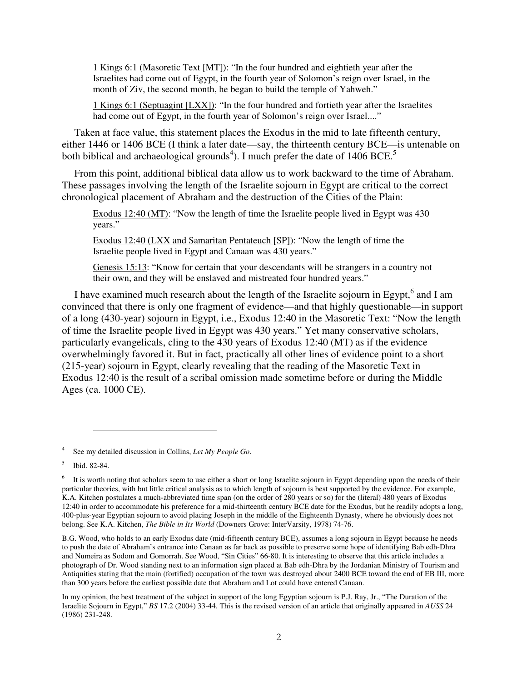1 Kings 6:1 (Masoretic Text [MT]): "In the four hundred and eightieth year after the Israelites had come out of Egypt, in the fourth year of Solomon's reign over Israel, in the month of Ziv, the second month, he began to build the temple of Yahweh."

1 Kings 6:1 (Septuagint [LXX]): "In the four hundred and fortieth year after the Israelites had come out of Egypt, in the fourth year of Solomon's reign over Israel...."

Taken at face value, this statement places the Exodus in the mid to late fifteenth century, either 1446 or 1406 BCE (I think a later date—say, the thirteenth century BCE—is untenable on both biblical and archaeological grounds<sup>4</sup>). I much prefer the date of 1406 BCE.<sup>5</sup>

From this point, additional biblical data allow us to work backward to the time of Abraham. These passages involving the length of the Israelite sojourn in Egypt are critical to the correct chronological placement of Abraham and the destruction of the Cities of the Plain:

Exodus 12:40 (MT): "Now the length of time the Israelite people lived in Egypt was 430 years."

Exodus 12:40 (LXX and Samaritan Pentateuch [SP]): "Now the length of time the Israelite people lived in Egypt and Canaan was 430 years."

Genesis 15:13: "Know for certain that your descendants will be strangers in a country not their own, and they will be enslaved and mistreated four hundred years."

I have examined much research about the length of the Israelite sojourn in Egypt,<sup>6</sup> and I am convinced that there is only one fragment of evidence—and that highly questionable—in support of a long (430-year) sojourn in Egypt, i.e., Exodus 12:40 in the Masoretic Text: "Now the length of time the Israelite people lived in Egypt was 430 years." Yet many conservative scholars, particularly evangelicals, cling to the 430 years of Exodus 12:40 (MT) as if the evidence overwhelmingly favored it. But in fact, practically all other lines of evidence point to a short (215-year) sojourn in Egypt, clearly revealing that the reading of the Masoretic Text in Exodus 12:40 is the result of a scribal omission made sometime before or during the Middle Ages (ca. 1000 CE).

 $\overline{a}$ 

<sup>4</sup> See my detailed discussion in Collins, *Let My People Go*.

<sup>5</sup> Ibid. 82-84.

<sup>6</sup> It is worth noting that scholars seem to use either a short or long Israelite sojourn in Egypt depending upon the needs of their particular theories, with but little critical analysis as to which length of sojourn is best supported by the evidence. For example, K.A. Kitchen postulates a much-abbreviated time span (on the order of 280 years or so) for the (literal) 480 years of Exodus 12:40 in order to accommodate his preference for a mid-thirteenth century BCE date for the Exodus, but he readily adopts a long, 400-plus-year Egyptian sojourn to avoid placing Joseph in the middle of the Eighteenth Dynasty, where he obviously does not belong. See K.A. Kitchen, *The Bible in Its World* (Downers Grove: InterVarsity, 1978) 74-76.

B.G. Wood, who holds to an early Exodus date (mid-fifteenth century BCE), assumes a long sojourn in Egypt because he needs to push the date of Abraham's entrance into Canaan as far back as possible to preserve some hope of identifying Bab edh-Dhra and Numeira as Sodom and Gomorrah. See Wood, "Sin Cities" 66-80. It is interesting to observe that this article includes a photograph of Dr. Wood standing next to an information sign placed at Bab edh-Dhra by the Jordanian Ministry of Tourism and Antiquities stating that the main (fortified) occupation of the town was destroyed about 2400 BCE toward the end of EB III, more than 300 years before the earliest possible date that Abraham and Lot could have entered Canaan.

In my opinion, the best treatment of the subject in support of the long Egyptian sojourn is P.J. Ray, Jr., "The Duration of the Israelite Sojourn in Egypt," *BS* 17.2 (2004) 33-44. This is the revised version of an article that originally appeared in *AUSS* 24 (1986) 231-248.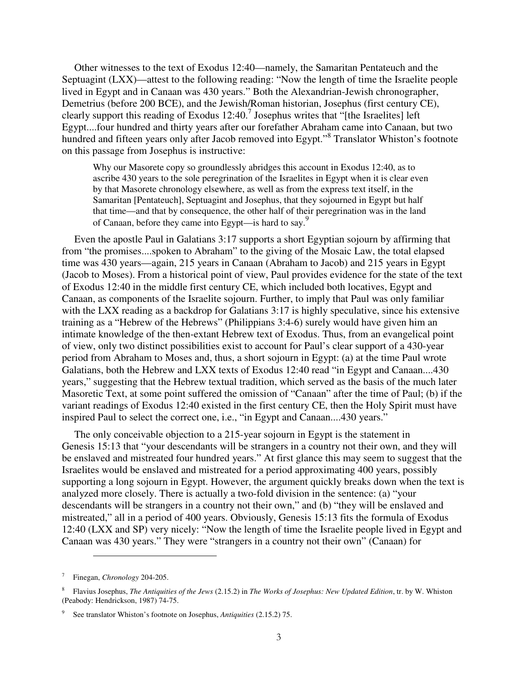Other witnesses to the text of Exodus 12:40—namely, the Samaritan Pentateuch and the Septuagint (LXX)—attest to the following reading: "Now the length of time the Israelite people lived in Egypt and in Canaan was 430 years." Both the Alexandrian-Jewish chronographer, Demetrius (before 200 BCE), and the Jewish/Roman historian, Josephus (first century CE), clearly support this reading of Exodus  $12:40$ .<sup>7</sup> Josephus writes that "[the Israelites] left Egypt....four hundred and thirty years after our forefather Abraham came into Canaan, but two hundred and fifteen years only after Jacob removed into Egypt."<sup>8</sup> Translator Whiston's footnote on this passage from Josephus is instructive:

Why our Masorete copy so groundlessly abridges this account in Exodus 12:40, as to ascribe 430 years to the sole peregrination of the Israelites in Egypt when it is clear even by that Masorete chronology elsewhere, as well as from the express text itself, in the Samaritan [Pentateuch], Septuagint and Josephus, that they sojourned in Egypt but half that time—and that by consequence, the other half of their peregrination was in the land of Canaan, before they came into Egypt—is hard to say.<sup>9</sup>

Even the apostle Paul in Galatians 3:17 supports a short Egyptian sojourn by affirming that from "the promises....spoken to Abraham" to the giving of the Mosaic Law, the total elapsed time was 430 years—again, 215 years in Canaan (Abraham to Jacob) and 215 years in Egypt (Jacob to Moses). From a historical point of view, Paul provides evidence for the state of the text of Exodus 12:40 in the middle first century CE, which included both locatives, Egypt and Canaan, as components of the Israelite sojourn. Further, to imply that Paul was only familiar with the LXX reading as a backdrop for Galatians 3:17 is highly speculative, since his extensive training as a "Hebrew of the Hebrews" (Philippians 3:4-6) surely would have given him an intimate knowledge of the then-extant Hebrew text of Exodus. Thus, from an evangelical point of view, only two distinct possibilities exist to account for Paul's clear support of a 430-year period from Abraham to Moses and, thus, a short sojourn in Egypt: (a) at the time Paul wrote Galatians, both the Hebrew and LXX texts of Exodus 12:40 read "in Egypt and Canaan....430 years," suggesting that the Hebrew textual tradition, which served as the basis of the much later Masoretic Text, at some point suffered the omission of "Canaan" after the time of Paul; (b) if the variant readings of Exodus 12:40 existed in the first century CE, then the Holy Spirit must have inspired Paul to select the correct one, i.e., "in Egypt and Canaan....430 years."

The only conceivable objection to a 215-year sojourn in Egypt is the statement in Genesis 15:13 that "your descendants will be strangers in a country not their own, and they will be enslaved and mistreated four hundred years." At first glance this may seem to suggest that the Israelites would be enslaved and mistreated for a period approximating 400 years, possibly supporting a long sojourn in Egypt. However, the argument quickly breaks down when the text is analyzed more closely. There is actually a two-fold division in the sentence: (a) "your descendants will be strangers in a country not their own," and (b) "they will be enslaved and mistreated," all in a period of 400 years. Obviously, Genesis 15:13 fits the formula of Exodus 12:40 (LXX and SP) very nicely: "Now the length of time the Israelite people lived in Egypt and Canaan was 430 years." They were "strangers in a country not their own" (Canaan) for

<sup>7</sup> Finegan, *Chronology* 204-205.

<sup>8</sup> Flavius Josephus, *The Antiquities of the Jews* (2.15.2) in *The Works of Josephus: New Updated Edition*, tr. by W. Whiston (Peabody: Hendrickson, 1987) 74-75.

<sup>9</sup> See translator Whiston's footnote on Josephus, *Antiquities* (2.15.2) 75.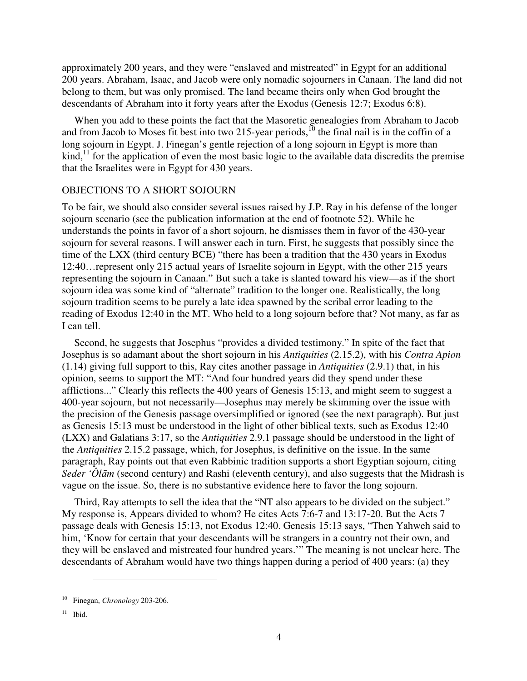approximately 200 years, and they were "enslaved and mistreated" in Egypt for an additional 200 years. Abraham, Isaac, and Jacob were only nomadic sojourners in Canaan. The land did not belong to them, but was only promised. The land became theirs only when God brought the descendants of Abraham into it forty years after the Exodus (Genesis 12:7; Exodus 6:8).

When you add to these points the fact that the Masoretic genealogies from Abraham to Jacob and from Jacob to Moses fit best into two 215-year periods,<sup>10</sup> the final nail is in the coffin of a long sojourn in Egypt. J. Finegan's gentle rejection of a long sojourn in Egypt is more than  $\text{kind},^{11}$  for the application of even the most basic logic to the available data discredits the premise that the Israelites were in Egypt for 430 years.

#### OBJECTIONS TO A SHORT SOJOURN

To be fair, we should also consider several issues raised by J.P. Ray in his defense of the longer sojourn scenario (see the publication information at the end of footnote 52). While he understands the points in favor of a short sojourn, he dismisses them in favor of the 430-year sojourn for several reasons. I will answer each in turn. First, he suggests that possibly since the time of the LXX (third century BCE) "there has been a tradition that the 430 years in Exodus 12:40…represent only 215 actual years of Israelite sojourn in Egypt, with the other 215 years representing the sojourn in Canaan." But such a take is slanted toward his view—as if the short sojourn idea was some kind of "alternate" tradition to the longer one. Realistically, the long sojourn tradition seems to be purely a late idea spawned by the scribal error leading to the reading of Exodus 12:40 in the MT. Who held to a long sojourn before that? Not many, as far as I can tell.

Second, he suggests that Josephus "provides a divided testimony." In spite of the fact that Josephus is so adamant about the short sojourn in his *Antiquities* (2.15.2), with his *Contra Apion* (1.14) giving full support to this, Ray cites another passage in *Antiquities* (2.9.1) that, in his opinion, seems to support the MT: "And four hundred years did they spend under these afflictions..." Clearly this reflects the 400 years of Genesis 15:13, and might seem to suggest a 400-year sojourn, but not necessarily—Josephus may merely be skimming over the issue with the precision of the Genesis passage oversimplified or ignored (see the next paragraph). But just as Genesis 15:13 must be understood in the light of other biblical texts, such as Exodus 12:40 (LXX) and Galatians 3:17, so the *Antiquities* 2.9.1 passage should be understood in the light of the *Antiquities* 2.15.2 passage, which, for Josephus, is definitive on the issue. In the same paragraph, Ray points out that even Rabbinic tradition supports a short Egyptian sojourn, citing *Seder 'Ôlām* (second century) and Rashi (eleventh century), and also suggests that the Midrash is vague on the issue. So, there is no substantive evidence here to favor the long sojourn.

Third, Ray attempts to sell the idea that the "NT also appears to be divided on the subject." My response is, Appears divided to whom? He cites Acts 7:6-7 and 13:17-20. But the Acts 7 passage deals with Genesis 15:13, not Exodus 12:40. Genesis 15:13 says, "Then Yahweh said to him, 'Know for certain that your descendants will be strangers in a country not their own, and they will be enslaved and mistreated four hundred years.'" The meaning is not unclear here. The descendants of Abraham would have two things happen during a period of 400 years: (a) they

<sup>10</sup> Finegan, *Chronology* 203-206.

 $11$  Ibid.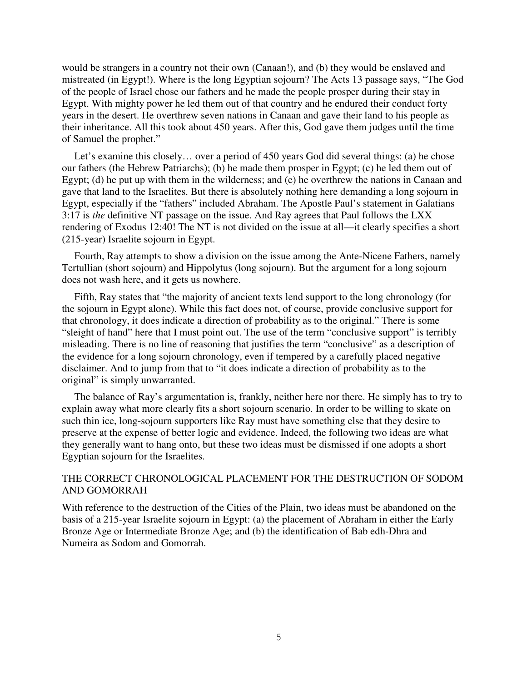would be strangers in a country not their own (Canaan!), and (b) they would be enslaved and mistreated (in Egypt!). Where is the long Egyptian sojourn? The Acts 13 passage says, "The God of the people of Israel chose our fathers and he made the people prosper during their stay in Egypt. With mighty power he led them out of that country and he endured their conduct forty years in the desert. He overthrew seven nations in Canaan and gave their land to his people as their inheritance. All this took about 450 years. After this, God gave them judges until the time of Samuel the prophet."

Let's examine this closely… over a period of 450 years God did several things: (a) he chose our fathers (the Hebrew Patriarchs); (b) he made them prosper in Egypt; (c) he led them out of Egypt; (d) he put up with them in the wilderness; and (e) he overthrew the nations in Canaan and gave that land to the Israelites. But there is absolutely nothing here demanding a long sojourn in Egypt, especially if the "fathers" included Abraham. The Apostle Paul's statement in Galatians 3:17 is *the* definitive NT passage on the issue. And Ray agrees that Paul follows the LXX rendering of Exodus 12:40! The NT is not divided on the issue at all—it clearly specifies a short (215-year) Israelite sojourn in Egypt.

Fourth, Ray attempts to show a division on the issue among the Ante-Nicene Fathers, namely Tertullian (short sojourn) and Hippolytus (long sojourn). But the argument for a long sojourn does not wash here, and it gets us nowhere.

Fifth, Ray states that "the majority of ancient texts lend support to the long chronology (for the sojourn in Egypt alone). While this fact does not, of course, provide conclusive support for that chronology, it does indicate a direction of probability as to the original." There is some "sleight of hand" here that I must point out. The use of the term "conclusive support" is terribly misleading. There is no line of reasoning that justifies the term "conclusive" as a description of the evidence for a long sojourn chronology, even if tempered by a carefully placed negative disclaimer. And to jump from that to "it does indicate a direction of probability as to the original" is simply unwarranted.

The balance of Ray's argumentation is, frankly, neither here nor there. He simply has to try to explain away what more clearly fits a short sojourn scenario. In order to be willing to skate on such thin ice, long-sojourn supporters like Ray must have something else that they desire to preserve at the expense of better logic and evidence. Indeed, the following two ideas are what they generally want to hang onto, but these two ideas must be dismissed if one adopts a short Egyptian sojourn for the Israelites.

## THE CORRECT CHRONOLOGICAL PLACEMENT FOR THE DESTRUCTION OF SODOM AND GOMORRAH

With reference to the destruction of the Cities of the Plain, two ideas must be abandoned on the basis of a 215-year Israelite sojourn in Egypt: (a) the placement of Abraham in either the Early Bronze Age or Intermediate Bronze Age; and (b) the identification of Bab edh-Dhra and Numeira as Sodom and Gomorrah.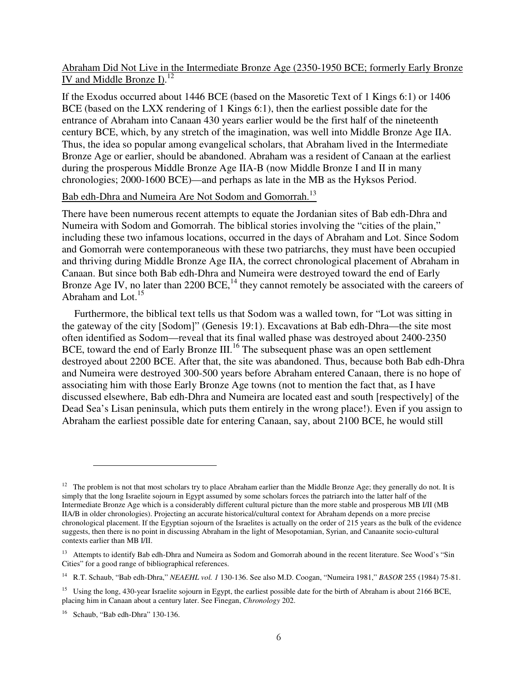## Abraham Did Not Live in the Intermediate Bronze Age (2350-1950 BCE; formerly Early Bronze IV and Middle Bronze I).<sup>12</sup>

If the Exodus occurred about 1446 BCE (based on the Masoretic Text of 1 Kings 6:1) or 1406 BCE (based on the LXX rendering of 1 Kings 6:1), then the earliest possible date for the entrance of Abraham into Canaan 430 years earlier would be the first half of the nineteenth century BCE, which, by any stretch of the imagination, was well into Middle Bronze Age IIA. Thus, the idea so popular among evangelical scholars, that Abraham lived in the Intermediate Bronze Age or earlier, should be abandoned. Abraham was a resident of Canaan at the earliest during the prosperous Middle Bronze Age IIA-B (now Middle Bronze I and II in many chronologies; 2000-1600 BCE)—and perhaps as late in the MB as the Hyksos Period.

# Bab edh-Dhra and Numeira Are Not Sodom and Gomorrah.<sup>13</sup>

There have been numerous recent attempts to equate the Jordanian sites of Bab edh-Dhra and Numeira with Sodom and Gomorrah. The biblical stories involving the "cities of the plain," including these two infamous locations, occurred in the days of Abraham and Lot. Since Sodom and Gomorrah were contemporaneous with these two patriarchs, they must have been occupied and thriving during Middle Bronze Age IIA, the correct chronological placement of Abraham in Canaan. But since both Bab edh-Dhra and Numeira were destroyed toward the end of Early Bronze Age IV, no later than 2200 BCE,<sup>14</sup> they cannot remotely be associated with the careers of Abraham and Lot. $15$ 

Furthermore, the biblical text tells us that Sodom was a walled town, for "Lot was sitting in the gateway of the city [Sodom]" (Genesis 19:1). Excavations at Bab edh-Dhra—the site most often identified as Sodom—reveal that its final walled phase was destroyed about 2400-2350 BCE, toward the end of Early Bronze III.<sup>16</sup> The subsequent phase was an open settlement destroyed about 2200 BCE. After that, the site was abandoned. Thus, because both Bab edh-Dhra and Numeira were destroyed 300-500 years before Abraham entered Canaan, there is no hope of associating him with those Early Bronze Age towns (not to mention the fact that, as I have discussed elsewhere, Bab edh-Dhra and Numeira are located east and south [respectively] of the Dead Sea's Lisan peninsula, which puts them entirely in the wrong place!). Even if you assign to Abraham the earliest possible date for entering Canaan, say, about 2100 BCE, he would still

 $12$  The problem is not that most scholars try to place Abraham earlier than the Middle Bronze Age; they generally do not. It is simply that the long Israelite sojourn in Egypt assumed by some scholars forces the patriarch into the latter half of the Intermediate Bronze Age which is a considerably different cultural picture than the more stable and prosperous MB I/II (MB IIA/B in older chronologies). Projecting an accurate historical/cultural context for Abraham depends on a more precise chronological placement. If the Egyptian sojourn of the Israelites is actually on the order of 215 years as the bulk of the evidence suggests, then there is no point in discussing Abraham in the light of Mesopotamian, Syrian, and Canaanite socio-cultural contexts earlier than MB I/II.

<sup>&</sup>lt;sup>13</sup> Attempts to identify Bab edh-Dhra and Numeira as Sodom and Gomorrah abound in the recent literature. See Wood's "Sin Cities" for a good range of bibliographical references.

<sup>14</sup> R.T. Schaub, "Bab edh-Dhra," *NEAEHL vol. 1* 130-136. See also M.D. Coogan, "Numeira 1981," *BASOR* 255 (1984) 75-81.

<sup>&</sup>lt;sup>15</sup> Using the long, 430-year Israelite sojourn in Egypt, the earliest possible date for the birth of Abraham is about 2166 BCE, placing him in Canaan about a century later. See Finegan, *Chronology* 202.

<sup>16</sup> Schaub, "Bab edh-Dhra" 130-136.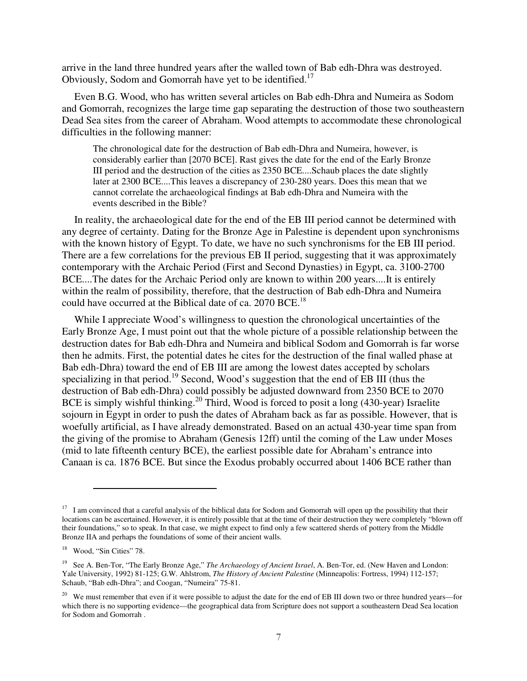arrive in the land three hundred years after the walled town of Bab edh-Dhra was destroyed. Obviously, Sodom and Gomorrah have yet to be identified.<sup>17</sup>

Even B.G. Wood, who has written several articles on Bab edh-Dhra and Numeira as Sodom and Gomorrah, recognizes the large time gap separating the destruction of those two southeastern Dead Sea sites from the career of Abraham. Wood attempts to accommodate these chronological difficulties in the following manner:

The chronological date for the destruction of Bab edh-Dhra and Numeira, however, is considerably earlier than [2070 BCE]. Rast gives the date for the end of the Early Bronze III period and the destruction of the cities as 2350 BCE....Schaub places the date slightly later at 2300 BCE....This leaves a discrepancy of 230-280 years. Does this mean that we cannot correlate the archaeological findings at Bab edh-Dhra and Numeira with the events described in the Bible?

In reality, the archaeological date for the end of the EB III period cannot be determined with any degree of certainty. Dating for the Bronze Age in Palestine is dependent upon synchronisms with the known history of Egypt. To date, we have no such synchronisms for the EB III period. There are a few correlations for the previous EB II period, suggesting that it was approximately contemporary with the Archaic Period (First and Second Dynasties) in Egypt, ca. 3100-2700 BCE....The dates for the Archaic Period only are known to within 200 years....It is entirely within the realm of possibility, therefore, that the destruction of Bab edh-Dhra and Numeira could have occurred at the Biblical date of ca. 2070 BCE.<sup>18</sup>

While I appreciate Wood's willingness to question the chronological uncertainties of the Early Bronze Age, I must point out that the whole picture of a possible relationship between the destruction dates for Bab edh-Dhra and Numeira and biblical Sodom and Gomorrah is far worse then he admits. First, the potential dates he cites for the destruction of the final walled phase at Bab edh-Dhra) toward the end of EB III are among the lowest dates accepted by scholars specializing in that period.<sup>19</sup> Second, Wood's suggestion that the end of EB III (thus the destruction of Bab edh-Dhra) could possibly be adjusted downward from 2350 BCE to 2070 BCE is simply wishful thinking.<sup>20</sup> Third, Wood is forced to posit a long  $(430$ -year) Israelite sojourn in Egypt in order to push the dates of Abraham back as far as possible. However, that is woefully artificial, as I have already demonstrated. Based on an actual 430-year time span from the giving of the promise to Abraham (Genesis 12ff) until the coming of the Law under Moses (mid to late fifteenth century BCE), the earliest possible date for Abraham's entrance into Canaan is ca. 1876 BCE. But since the Exodus probably occurred about 1406 BCE rather than

<sup>&</sup>lt;sup>17</sup> I am convinced that a careful analysis of the biblical data for Sodom and Gomorrah will open up the possibility that their locations can be ascertained. However, it is entirely possible that at the time of their destruction they were completely "blown off their foundations," so to speak. In that case, we might expect to find only a few scattered sherds of pottery from the Middle Bronze IIA and perhaps the foundations of some of their ancient walls.

<sup>&</sup>lt;sup>18</sup> Wood, "Sin Cities" 78.

<sup>19</sup> See A. Ben-Tor, "The Early Bronze Age," *The Archaeology of Ancient Israel*, A. Ben-Tor, ed. (New Haven and London: Yale University, 1992) 81-125; G.W. Ahlstrom, *The History of Ancient Palestine* (Minneapolis: Fortress, 1994) 112-157; Schaub, "Bab edh-Dhra"; and Coogan, "Numeira" 75-81.

<sup>&</sup>lt;sup>20</sup> We must remember that even if it were possible to adjust the date for the end of EB III down two or three hundred years—for which there is no supporting evidence—the geographical data from Scripture does not support a southeastern Dead Sea location for Sodom and Gomorrah .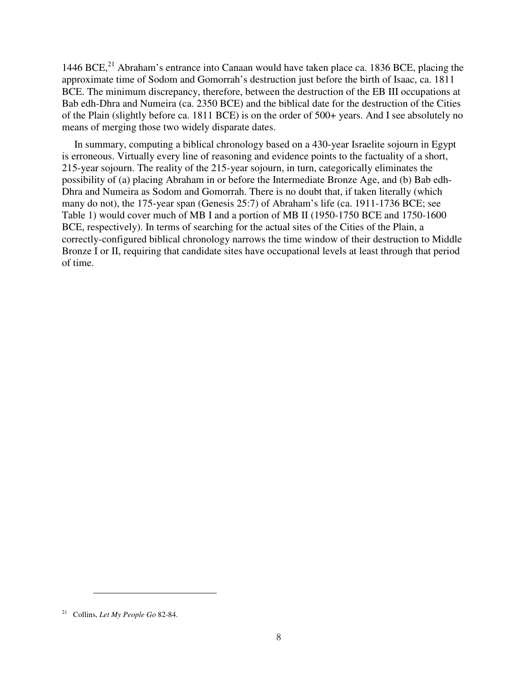1446 BCE,  $^{21}$  Abraham's entrance into Canaan would have taken place ca. 1836 BCE, placing the approximate time of Sodom and Gomorrah's destruction just before the birth of Isaac, ca. 1811 BCE. The minimum discrepancy, therefore, between the destruction of the EB III occupations at Bab edh-Dhra and Numeira (ca. 2350 BCE) and the biblical date for the destruction of the Cities of the Plain (slightly before ca. 1811 BCE) is on the order of 500+ years. And I see absolutely no means of merging those two widely disparate dates.

In summary, computing a biblical chronology based on a 430-year Israelite sojourn in Egypt is erroneous. Virtually every line of reasoning and evidence points to the factuality of a short, 215-year sojourn. The reality of the 215-year sojourn, in turn, categorically eliminates the possibility of (a) placing Abraham in or before the Intermediate Bronze Age, and (b) Bab edh-Dhra and Numeira as Sodom and Gomorrah. There is no doubt that, if taken literally (which many do not), the 175-year span (Genesis 25:7) of Abraham's life (ca. 1911-1736 BCE; see Table 1) would cover much of MB I and a portion of MB II (1950-1750 BCE and 1750-1600 BCE, respectively). In terms of searching for the actual sites of the Cities of the Plain, a correctly-configured biblical chronology narrows the time window of their destruction to Middle Bronze I or II, requiring that candidate sites have occupational levels at least through that period of time.

<sup>21</sup> Collins, *Let My People Go* 82-84.